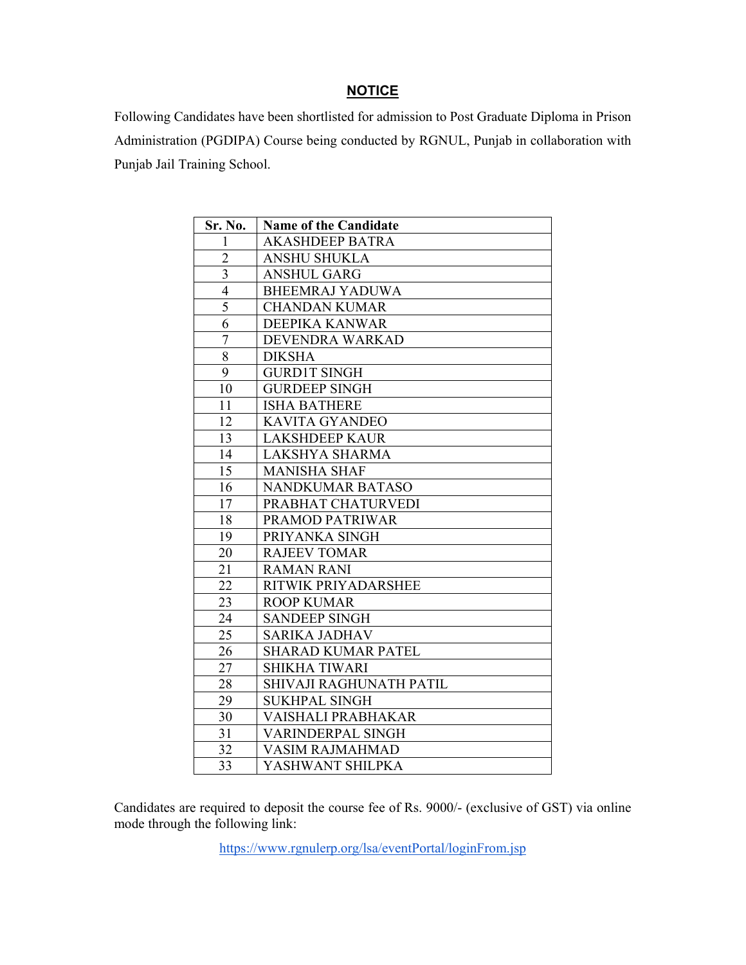## **NOTICE**

Following Candidates have been shortlisted for admission to Post Graduate Diploma in Prison Administration (PGDIPA) Course being conducted by RGNUL, Punjab in collaboration with Punjab Jail Training School.

| Sr. No.                 | <b>Name of the Candidate</b> |
|-------------------------|------------------------------|
| 1                       | <b>AKASHDEEP BATRA</b>       |
| $\overline{c}$          | <b>ANSHU SHUKLA</b>          |
| $\overline{\mathbf{3}}$ | <b>ANSHUL GARG</b>           |
| $\frac{4}{5}$           | <b>BHEEMRAJ YADUWA</b>       |
|                         | <b>CHANDAN KUMAR</b>         |
| 6                       | DEEPIKA KANWAR               |
| $\overline{7}$          | DEVENDRA WARKAD              |
| $\overline{8}$          | <b>DIKSHA</b>                |
| 9                       | <b>GURD1T SINGH</b>          |
| 10                      | <b>GURDEEP SINGH</b>         |
| 11                      | <b>ISHA BATHERE</b>          |
| 12                      | <b>KAVITA GYANDEO</b>        |
| 13                      | <b>LAKSHDEEP KAUR</b>        |
| 14                      | LAKSHYA SHARMA               |
| 15                      | <b>MANISHA SHAF</b>          |
| 16                      | NANDKUMAR BATASO             |
| 17                      | PRABHAT CHATURVEDI           |
| 18                      | PRAMOD PATRIWAR              |
| 19                      | PRIYANKA SINGH               |
| 20                      | <b>RAJEEV TOMAR</b>          |
| 21                      | <b>RAMAN RANI</b>            |
| 22                      | RITWIK PRIYADARSHEE          |
| 23                      | <b>ROOP KUMAR</b>            |
| 24                      | <b>SANDEEP SINGH</b>         |
| 25                      | <b>SARIKA JADHAV</b>         |
| 26                      | <b>SHARAD KUMAR PATEL</b>    |
| 27                      | <b>SHIKHA TIWARI</b>         |
| 28                      | SHIVAJI RAGHUNATH PATIL      |
| 29                      | <b>SUKHPAL SINGH</b>         |
| 30                      | VAISHALI PRABHAKAR           |
| 31                      | VARINDERPAL SINGH            |
| 32                      | <b>VASIM RAJMAHMAD</b>       |
| 33                      | YASHWANT SHILPKA             |

Candidates are required to deposit the course fee of Rs. 9000/- (exclusive of GST) via online mode through the following link:

https://www.rgnulerp.org/lsa/eventPortal/loginFrom.jsp